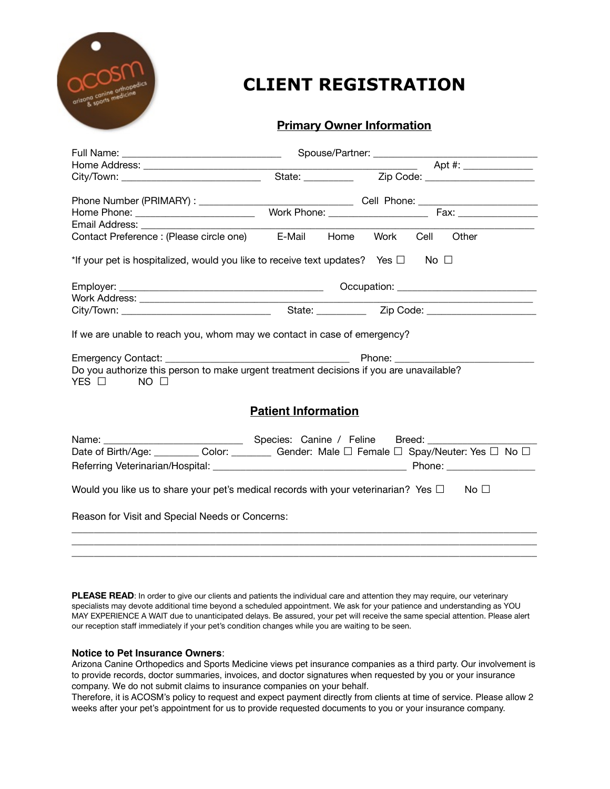

# **CLIENT REGISTRATION**

## **Primary Owner Information**

| Home Phone: ___________________________                                                                                                                                                     |                            |           |  |               |  |  |  |  |
|---------------------------------------------------------------------------------------------------------------------------------------------------------------------------------------------|----------------------------|-----------|--|---------------|--|--|--|--|
| Email Address: ______________                                                                                                                                                               |                            |           |  |               |  |  |  |  |
| Contact Preference : (Please circle one) E-Mail                                                                                                                                             |                            | Home Work |  | Cell<br>Other |  |  |  |  |
| *If your pet is hospitalized, would you like to receive text updates? Yes $\square$ No $\square$                                                                                            |                            |           |  |               |  |  |  |  |
|                                                                                                                                                                                             |                            |           |  |               |  |  |  |  |
|                                                                                                                                                                                             |                            |           |  |               |  |  |  |  |
|                                                                                                                                                                                             |                            |           |  |               |  |  |  |  |
| If we are unable to reach you, whom may we contact in case of emergency?<br>Do you authorize this person to make urgent treatment decisions if you are unavailable?<br>YES □<br>$NO$ $\Box$ |                            |           |  |               |  |  |  |  |
|                                                                                                                                                                                             | <b>Patient Information</b> |           |  |               |  |  |  |  |
| Date of Birth/Age: _________ Color: ________ Gender: Male □ Female □ Spay/Neuter: Yes □ No □                                                                                                |                            |           |  |               |  |  |  |  |
| Would you like us to share your pet's medical records with your veterinarian? Yes $\square$ No $\square$                                                                                    |                            |           |  |               |  |  |  |  |
| Reason for Visit and Special Needs or Concerns:                                                                                                                                             |                            |           |  |               |  |  |  |  |
|                                                                                                                                                                                             |                            |           |  |               |  |  |  |  |

PLEASE READ: In order to give our clients and patients the individual care and attention they may require, our veterinary specialists may devote additional time beyond a scheduled appointment. We ask for your patience and understanding as YOU MAY EXPERIENCE A WAIT due to unanticipated delays. Be assured, your pet will receive the same special attention. Please alert our reception staff immediately if your pet's condition changes while you are waiting to be seen.

 $\overline{\phantom{a}}$  , and the contribution of the contribution of the contribution of the contribution of the contribution of the contribution of the contribution of the contribution of the contribution of the contribution of the

#### **Notice to Pet Insurance Owners**:

Arizona Canine Orthopedics and Sports Medicine views pet insurance companies as a third party. Our involvement is to provide records, doctor summaries, invoices, and doctor signatures when requested by you or your insurance company. We do not submit claims to insurance companies on your behalf.

Therefore, it is ACOSM's policy to request and expect payment directly from clients at time of service. Please allow 2 weeks after your pet's appointment for us to provide requested documents to you or your insurance company.